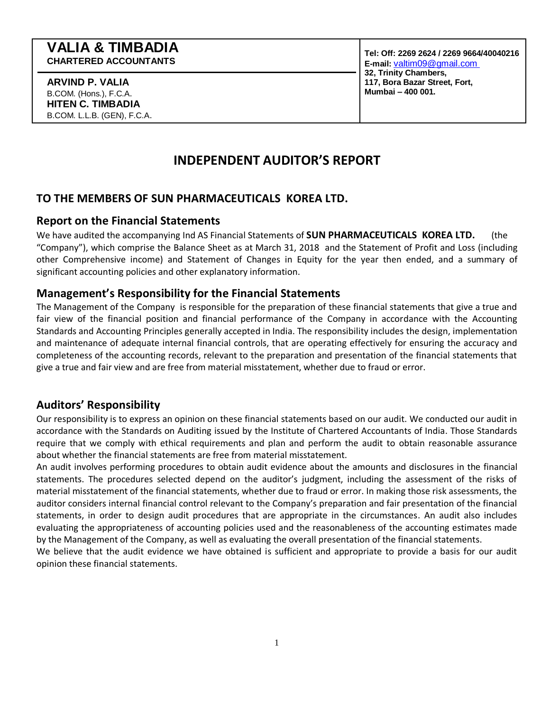# **VALIA & TIMBADIA CHARTERED ACCOUNTANTS**

**ARVIND P. VALIA** B.COM. (Hons.), F.C.A. **HITEN C. TIMBADIA** B.COM. L.L.B. (GEN), F.C.A. **Tel: Off: 2269 2624 / 2269 9664/40040216 E-mail:** [valtim09@gmail.com](mailto:valtim09@gmail.com) **32, Trinity Chambers, 117, Bora Bazar Street, Fort, Mumbai – 400 001.**

# **INDEPENDENT AUDITOR'S REPORT**

# **TO THE MEMBERS OF SUN PHARMACEUTICALS KOREA LTD.**

# **Report on the Financial Statements**

We have audited the accompanying Ind AS Financial Statements of **SUN PHARMACEUTICALS KOREA LTD.** (the "Company"), which comprise the Balance Sheet as at March 31, 2018 and the Statement of Profit and Loss (including other Comprehensive income) and Statement of Changes in Equity for the year then ended, and a summary of significant accounting policies and other explanatory information.

# **Management's Responsibility for the Financial Statements**

The Management of the Company is responsible for the preparation of these financial statements that give a true and fair view of the financial position and financial performance of the Company in accordance with the Accounting Standards and Accounting Principles generally accepted in India. The responsibility includes the design, implementation and maintenance of adequate internal financial controls, that are operating effectively for ensuring the accuracy and completeness of the accounting records, relevant to the preparation and presentation of the financial statements that give a true and fair view and are free from material misstatement, whether due to fraud or error.

# **Auditors' Responsibility**

Our responsibility is to express an opinion on these financial statements based on our audit. We conducted our audit in accordance with the Standards on Auditing issued by the Institute of Chartered Accountants of India. Those Standards require that we comply with ethical requirements and plan and perform the audit to obtain reasonable assurance about whether the financial statements are free from material misstatement.

An audit involves performing procedures to obtain audit evidence about the amounts and disclosures in the financial statements. The procedures selected depend on the auditor's judgment, including the assessment of the risks of material misstatement of the financial statements, whether due to fraud or error. In making those risk assessments, the auditor considers internal financial control relevant to the Company's preparation and fair presentation of the financial statements, in order to design audit procedures that are appropriate in the circumstances. An audit also includes evaluating the appropriateness of accounting policies used and the reasonableness of the accounting estimates made by the Management of the Company, as well as evaluating the overall presentation of the financial statements.

We believe that the audit evidence we have obtained is sufficient and appropriate to provide a basis for our audit opinion these financial statements.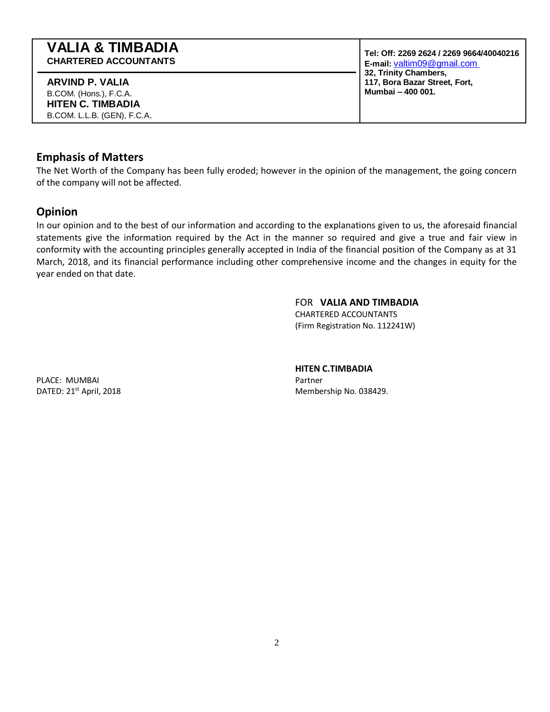# **VALIA & TIMBADIA CHARTERED ACCOUNTANTS**

**ARVIND P. VALIA** B.COM. (Hons.), F.C.A. **HITEN C. TIMBADIA** B.COM. L.L.B. (GEN), F.C.A. **Tel: Off: 2269 2624 / 2269 9664/40040216 E-mail:** [valtim09@gmail.com](mailto:valtim09@gmail.com) **32, Trinity Chambers, 117, Bora Bazar Street, Fort, Mumbai – 400 001.**

# **Emphasis of Matters**

The Net Worth of the Company has been fully eroded; however in the opinion of the management, the going concern of the company will not be affected.

# **Opinion**

In our opinion and to the best of our information and according to the explanations given to us, the aforesaid financial statements give the information required by the Act in the manner so required and give a true and fair view in conformity with the accounting principles generally accepted in India of the financial position of the Company as at 31 March, 2018, and its financial performance including other comprehensive income and the changes in equity for the year ended on that date.

## FOR **VALIA AND TIMBADIA**

CHARTERED ACCOUNTANTS (Firm Registration No. 112241W)

PLACE: MUMBAI PARTNERS PARTNERS PARTNERS

### **HITEN C.TIMBADIA**

DATED: 21<sup>st</sup> April, 2018 Membership No. 038429.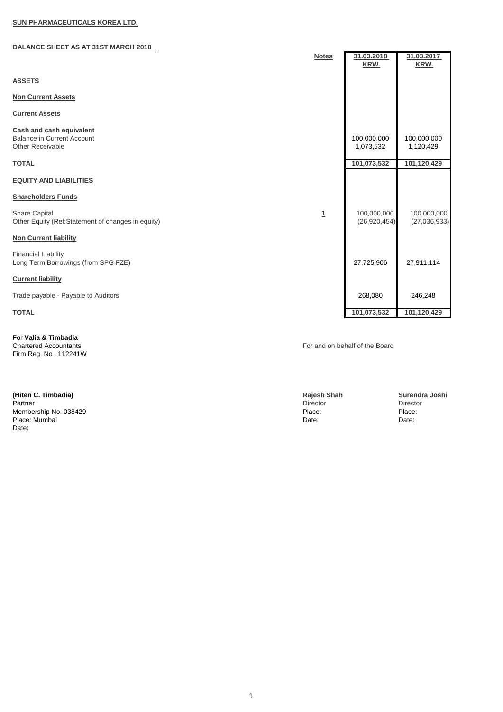### **BALANCE SHEET AS AT 31ST MARCH 2018**

|                                                                                   | <b>Notes</b>   | 31.03.2018<br><b>KRW</b>    | 31.03.2017<br><b>KRW</b>    |
|-----------------------------------------------------------------------------------|----------------|-----------------------------|-----------------------------|
| <b>ASSETS</b>                                                                     |                |                             |                             |
| <b>Non Current Assets</b>                                                         |                |                             |                             |
| <b>Current Assets</b>                                                             |                |                             |                             |
| Cash and cash equivalent<br><b>Balance in Current Account</b><br>Other Receivable |                | 100,000,000<br>1,073,532    | 100,000,000<br>1,120,429    |
| <b>TOTAL</b>                                                                      |                | 101,073,532                 | 101,120,429                 |
| <b>EQUITY AND LIABILITIES</b>                                                     |                |                             |                             |
| <b>Shareholders Funds</b>                                                         |                |                             |                             |
| Share Capital<br>Other Equity (Ref:Statement of changes in equity)                | $\overline{1}$ | 100,000,000<br>(26,920,454) | 100,000,000<br>(27,036,933) |
| <b>Non Current liability</b>                                                      |                |                             |                             |
| <b>Financial Liability</b><br>Long Term Borrowings (from SPG FZE)                 |                | 27,725,906                  | 27,911,114                  |
| <b>Current liability</b>                                                          |                |                             |                             |
| Trade payable - Payable to Auditors                                               |                | 268,080                     | 246,248                     |
| <b>TOTAL</b>                                                                      |                | 101,073,532                 | 101,120,429                 |
|                                                                                   |                |                             |                             |

For and on behalf of the Board

**(Hiten C. Timbadia) Rajesh Shah Surendra Joshi** Partner **Director** Director Director **Director** Director **Director** Director **Director** Membership No. 038429<br>
Membership No. 038429<br>
Place: Place: Place: Place: Place: Place: Place: Place: Place: Place: Place: Place: Place: Place: Place: Mumbai Date:

For **Valia & Timbadia** 

Firm Reg. No . 112241W

٦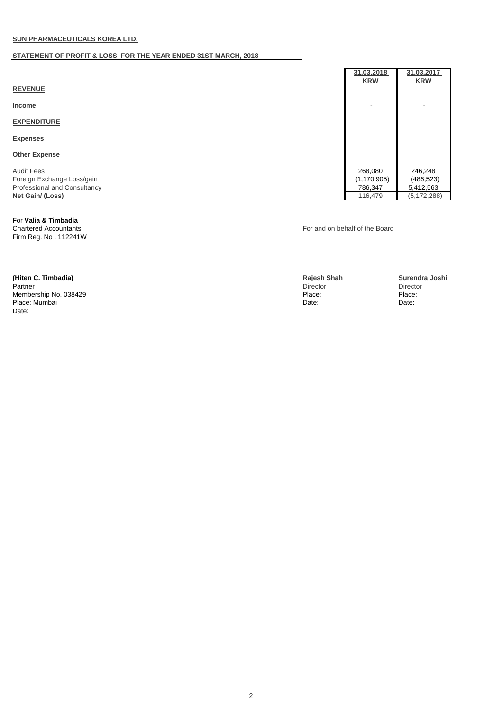### **STATEMENT OF PROFIT & LOSS FOR THE YEAR ENDED 31ST MARCH, 2018**

### **REVENUE**

### **EXPENDITURE**

### **Expenses**

### **Other Expense**

**Net Gain/ (Loss)** (5,172,288)

# For **Valia & Timbadia**

Firm Reg. No . 112241W

Partner **Director** Director Director **Director** Director **Director** Director **Director** Director Membership No. 038429 Place: Place: Place: Place: Place: Place: Place: Place: Place: Place: Place: Place: Place: Place: Place: Place: Place: Place: Place: Place: Place: Place: Place: Place: Place: Place: Place: Place: Plac Place: Mumbai Date:

**31.03.2018 31.03.2017 KRW KRW Income** - - Audit Fees 268,080 246,248 Foreign Exchange Loss/gain (486,523) (486,523) Professional and Consultancy 786,347 5,412,563

For and on behalf of the Board

**(Hiten C. Timbadia) Rajesh Shah Surendra Joshi**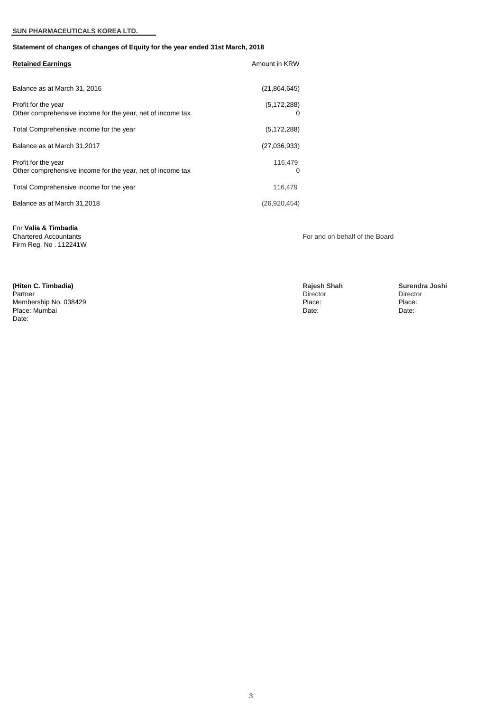# **SUN PHARMACEUTICALS KOREA LTD.**

### **Statement of changes of changes of Equity for the year ended 31st March, 2018**

| <b>Retained Earnings</b>                                                          | Amount in KRW       |
|-----------------------------------------------------------------------------------|---------------------|
| Balance as at March 31, 2016                                                      | (21, 864, 645)      |
| Profit for the year<br>Other comprehensive income for the year, net of income tax | (5, 172, 288)       |
| Total Comprehensive income for the year                                           | (5, 172, 288)       |
| Balance as at March 31,2017                                                       | (27.036.933)        |
| Profit for the year<br>Other comprehensive income for the year, net of income tax | 116,479<br>$\Omega$ |
| Total Comprehensive income for the year                                           | 116,479             |
| Balance as at March 31,2018                                                       | (26,920,454)        |

For **Valia & Timbadia**  Firm Reg. No . 112241W

**(Hiten C. Timbadia) Rajesh Shah Surendra Joshi** Partner **Director** Director Director **Director** Director **Director** Director **Director** Membership No. 038429 Place: Place: Place: Place: Place: Place: Place: Place: Place: Place: Place: Place: Place<br>Place: Place: Place: Place: Place: Place: Place: Place: Place: Place: Place: Place: Place: Place: Place: Place Place: Mumbai Date:

For and on behalf of the Board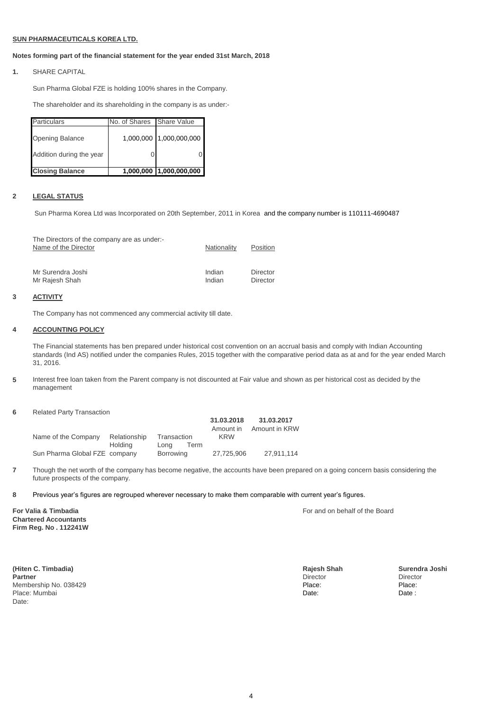### **SUN PHARMACEUTICALS KOREA LTD.**

### **Notes forming part of the financial statement for the year ended 31st March, 2018**

**1.** SHARE CAPITAL

Sun Pharma Global FZE is holding 100% shares in the Company.

The shareholder and its shareholding in the company is as under:-

| <b>Closing Balance</b>   |               | 1,000,000   1,000,000,000 |
|--------------------------|---------------|---------------------------|
| Addition during the year |               |                           |
| <b>Opening Balance</b>   |               | 1,000,000 1,000,000,000   |
| Particulars              | No. of Shares | Share Value               |

### **2 LEGAL STATUS**

Sun Pharma Korea Ltd was Incorporated on 20th September, 2011 in Korea and the company number is 110111-4690487

| The Directors of the company are as under:-<br>Name of the Director | Nationality | Position        |  |
|---------------------------------------------------------------------|-------------|-----------------|--|
| Mr Surendra Joshi                                                   | Indian      | Director        |  |
| Mr Rajesh Shah                                                      | Indian      | <b>Director</b> |  |

### **3 ACTIVITY**

The Company has not commenced any commercial activity till date.

### **4 ACCOUNTING POLICY**

The Financial statements has ben prepared under historical cost convention on an accrual basis and comply with Indian Accounting standards (Ind AS) notified under the companies Rules, 2015 together with the comparative period data as at and for the year ended March 31, 2016.

- **5** Interest free loan taken from the Parent company is not discounted at Fair value and shown as per historical cost as decided by the management
- **6** Related Party Transaction

| <b>INGRUATE CITY TRANSCRIPT</b> |              |             |      | 31.03.2018<br>Amount in | 31.03.2017<br>Amount in KRW |
|---------------------------------|--------------|-------------|------|-------------------------|-----------------------------|
| Name of the Company             | Relationship | Transaction |      | <b>KRW</b>              |                             |
|                                 | Holding      | Lona        | Term |                         |                             |
| Sun Pharma Global FZE company   |              | Borrowing   |      | 27.725.906              | 27.911.114                  |

- **7**  Though the net worth of the company has become negative, the accounts have been prepared on a going concern basis considering the future prospects of the company.
- **8** Previous year's figures are regrouped wherever necessary to make them comparable with current year's figures.

**For Valia & Timbadia** For and on behalf of the Board **Chartered Accountants Firm Reg. No . 112241W**

**(Hiten C. Timbadia) Rajesh Shah Surendra Joshi Partner** Director Director Director Director Director Director Director Director Director Director Director Director Membership No. 038429 Place: Place: Place: Place: Place: Place: Place: Mumbai **Date:** Date: Date: Date: Date: Date: Date: Date: Date: Date: Date: Date: Date: Date: Date: Date: Date: Date: Date: Date: Date: Date: Date: Date: Date: Date: Date: Date: Date: Date: Date: Date: Date: Date: Da Date: